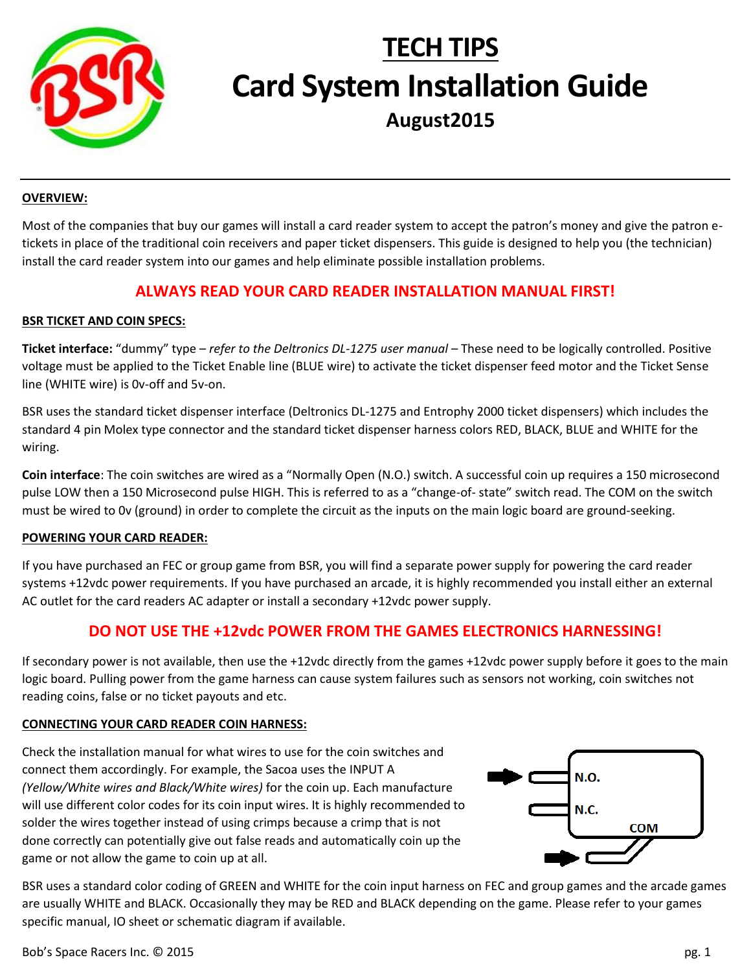

# **TECH TIPS Card System Installation Guide August2015**

#### **OVERVIEW:**

Most of the companies that buy our games will install a card reader system to accept the patron's money and give the patron etickets in place of the traditional coin receivers and paper ticket dispensers. This guide is designed to help you (the technician) install the card reader system into our games and help eliminate possible installation problems.

## **ALWAYS READ YOUR CARD READER INSTALLATION MANUAL FIRST!**

### **BSR TICKET AND COIN SPECS:**

**Ticket interface:** "dummy" type – *refer to the Deltronics DL-1275 user manual* – These need to be logically controlled. Positive voltage must be applied to the Ticket Enable line (BLUE wire) to activate the ticket dispenser feed motor and the Ticket Sense line (WHITE wire) is 0v-off and 5v-on.

BSR uses the standard ticket dispenser interface (Deltronics DL-1275 and Entrophy 2000 ticket dispensers) which includes the standard 4 pin Molex type connector and the standard ticket dispenser harness colors RED, BLACK, BLUE and WHITE for the wiring.

**Coin interface**: The coin switches are wired as a "Normally Open (N.O.) switch. A successful coin up requires a 150 microsecond pulse LOW then a 150 Microsecond pulse HIGH. This is referred to as a "change-of- state" switch read. The COM on the switch must be wired to 0v (ground) in order to complete the circuit as the inputs on the main logic board are ground-seeking.

#### **POWERING YOUR CARD READER:**

If you have purchased an FEC or group game from BSR, you will find a separate power supply for powering the card reader systems +12vdc power requirements. If you have purchased an arcade, it is highly recommended you install either an external AC outlet for the card readers AC adapter or install a secondary +12vdc power supply.

## **DO NOT USE THE +12vdc POWER FROM THE GAMES ELECTRONICS HARNESSING!**

If secondary power is not available, then use the +12vdc directly from the games +12vdc power supply before it goes to the main logic board. Pulling power from the game harness can cause system failures such as sensors not working, coin switches not reading coins, false or no ticket payouts and etc.

#### **CONNECTING YOUR CARD READER COIN HARNESS:**

Check the installation manual for what wires to use for the coin switches and connect them accordingly. For example, the Sacoa uses the INPUT A *(Yellow/White wires and Black/White wires)* for the coin up. Each manufacture will use different color codes for its coin input wires. It is highly recommended to solder the wires together instead of using crimps because a crimp that is not done correctly can potentially give out false reads and automatically coin up the game or not allow the game to coin up at all.



BSR uses a standard color coding of GREEN and WHITE for the coin input harness on FEC and group games and the arcade games are usually WHITE and BLACK. Occasionally they may be RED and BLACK depending on the game. Please refer to your games specific manual, IO sheet or schematic diagram if available.